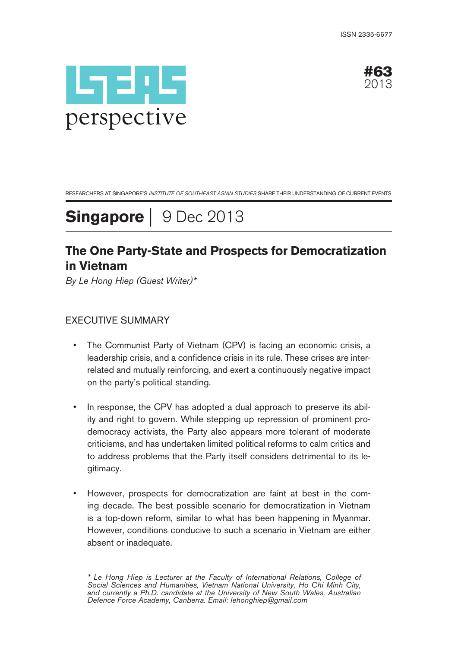



RESEARCHERS AT SINGAPORE'S INSTITUTE OF SOUTHEAST ASIAN STUDIES SHARE THEIR UNDERSTANDING OF CURRENT EVENTS

**Singapore** | 9 Dec 2013

# **The One Party-State and Prospects for Democratization in Vietnam**

By Le Hong Hiep (Guest Writer)\*

## EXECUTIVE SUMMARY

- The Communist Party of Vietnam (CPV) is facing an economic crisis, a leadership crisis, and a confidence crisis in its rule. These crises are interrelated and mutually reinforcing, and exert a continuously negative impact on the party's political standing.
- In response, the CPV has adopted a dual approach to preserve its ability and right to govern. While stepping up repression of prominent prodemocracy activists, the Party also appears more tolerant of moderate criticisms, and has undertaken limited political reforms to calm critics and to address problems that the Party itself considers detrimental to its legitimacy.
- However, prospects for democratization are faint at best in the coming decade. The best possible scenario for democratization in Vietnam is a top-down reform, similar to what has been happening in Myanmar. However, conditions conducive to such a scenario in Vietnam are either absent or inadequate.

\* Le Hong Hiep is Lecturer at the Faculty of International Relations, College of Social Sciences and Humanities, Vietnam National University, Ho Chi Minh City, and currently a Ph.D. candidate at the University of New South Wales, Australian Defence Force Academy, Canberra. Email: lehonghiep@gmail.com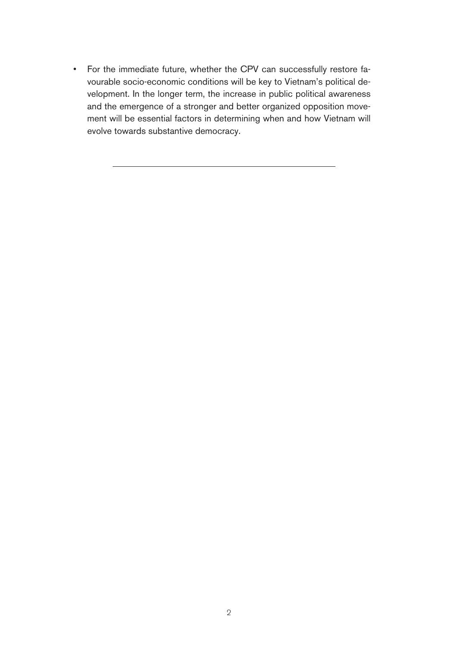• For the immediate future, whether the CPV can successfully restore favourable socio-economic conditions will be key to Vietnam's political development. In the longer term, the increase in public political awareness and the emergence of a stronger and better organized opposition movement will be essential factors in determining when and how Vietnam will evolve towards substantive democracy.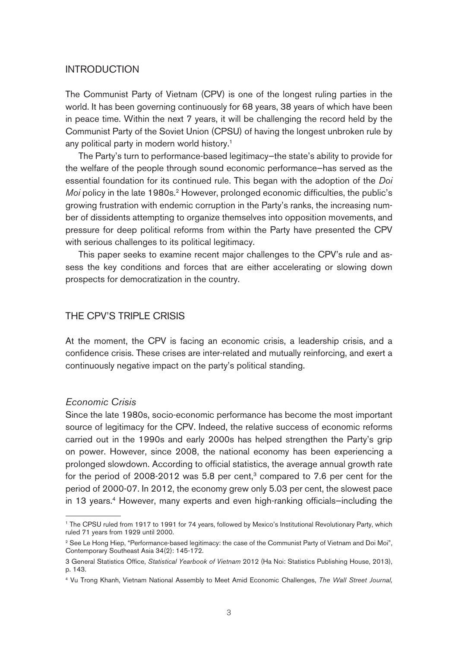#### INTRODUCTION

The Communist Party of Vietnam (CPV) is one of the longest ruling parties in the world. It has been governing continuously for 68 years, 38 years of which have been in peace time. Within the next 7 years, it will be challenging the record held by the Communist Party of the Soviet Union (CPSU) of having the longest unbroken rule by any political party in modern world history.<sup>1</sup>

The Party's turn to performance-based legitimacy—the state's ability to provide for the welfare of the people through sound economic performance—has served as the essential foundation for its continued rule. This began with the adoption of the Doi Moi policy in the late 1980s.<sup>2</sup> However, prolonged economic difficulties, the public's growing frustration with endemic corruption in the Party's ranks, the increasing number of dissidents attempting to organize themselves into opposition movements, and pressure for deep political reforms from within the Party have presented the CPV with serious challenges to its political legitimacy.

This paper seeks to examine recent major challenges to the CPV's rule and assess the key conditions and forces that are either accelerating or slowing down prospects for democratization in the country.

#### THE CPV'S TRIPLE CRISIS

At the moment, the CPV is facing an economic crisis, a leadership crisis, and a confidence crisis. These crises are inter-related and mutually reinforcing, and exert a continuously negative impact on the party's political standing.

#### Economic Crisis

Since the late 1980s, socio-economic performance has become the most important source of legitimacy for the CPV. Indeed, the relative success of economic reforms carried out in the 1990s and early 2000s has helped strengthen the Party's grip on power. However, since 2008, the national economy has been experiencing a prolonged slowdown. According to official statistics, the average annual growth rate for the period of 2008-2012 was  $5.8$  per cent,<sup>3</sup> compared to 7.6 per cent for the period of 2000-07. In 2012, the economy grew only 5.03 per cent, the slowest pace in 13 years.<sup>4</sup> However, many experts and even high-ranking officials-including the

<sup>1</sup> The CPSU ruled from 1917 to 1991 for 74 years, followed by Mexico's Institutional Revolutionary Party, which ruled 71 years from 1929 until 2000.

<sup>&</sup>lt;sup>2</sup> See Le Hong Hiep, "Performance-based legitimacy: the case of the Communist Party of Vietnam and Doi Moi", Contemporary Southeast Asia 34(2): 145-172.

<sup>3</sup> General Statistics Office, Statistical Yearbook of Vietnam 2012 (Ha Noi: Statistics Publishing House, 2013), p. 143.

<sup>4</sup> Vu Trong Khanh, Vietnam National Assembly to Meet Amid Economic Challenges, The Wall Street Journal,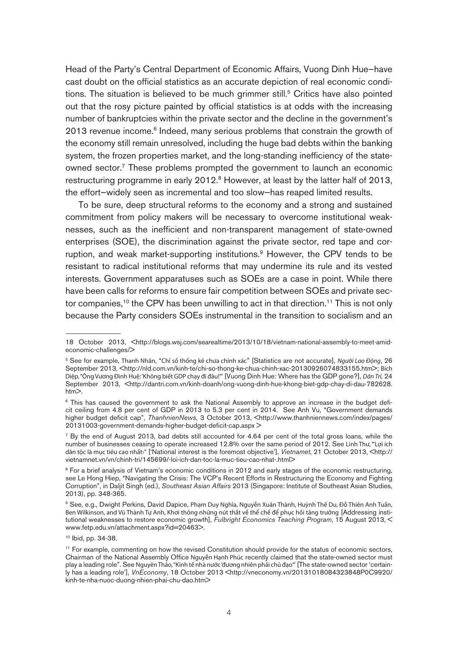Head of the Party's Central Department of Economic Affairs, Vuong Dinh Hue—have cast doubt on the official statistics as an accurate depiction of real economic conditions. The situation is believed to be much grimmer still.<sup>5</sup> Critics have also pointed out that the rosy picture painted by official statistics is at odds with the increasing number of bankruptcies within the private sector and the decline in the government's 2013 revenue income.<sup>6</sup> Indeed, many serious problems that constrain the growth of the economy still remain unresolved, including the huge bad debts within the banking system, the frozen properties market, and the long-standing inefficiency of the stateowned sector.<sup>7</sup> These problems prompted the government to launch an economic restructuring programme in early 2012.<sup>8</sup> However, at least by the latter half of 2013, the effort—widely seen as incremental and too slow—has reaped limited results.

To be sure, deep structural reforms to the economy and a strong and sustained commitment from policy makers will be necessary to overcome institutional weaknesses, such as the inefficient and non-transparent management of state-owned enterprises (SOE), the discrimination against the private sector, red tape and corruption, and weak market-supporting institutions.<sup>9</sup> However, the CPV tends to be resistant to radical institutional reforms that may undermine its rule and its vested interests. Government apparatuses such as SOEs are a case in point. While there have been calls for reforms to ensure fair competition between SOEs and private sector companies,<sup>10</sup> the CPV has been unwilling to act in that direction.<sup>11</sup> This is not only because the Party considers SOEs instrumental in the transition to socialism and an

<sup>18</sup> October 2013, <http://blogs.wsj.com/searealtime/2013/10/18/vietnam-national-assembly-to-meet-amideconomic-challenges/>

<sup>5</sup> See for example, Thanh Nhân, "Chỉ số thống kê chưa chính xác" [Statistics are not accurate], *Người Lao Động*, 26 September 2013, <http://nld.com.vn/kinh-te/chi-so-thong-ke-chua-chinh-xac-20130926074833155.htm>; Bích Diệp, "Ông Vương Đình Huệ: 'Không biết GDP chạy đi đâu!'" [Vuong Dinh Hue: Where has the GDP gone?], *Dân Trí,* 24 September 2013, <http://dantri.com.vn/kinh-doanh/ong-vuong-dinh-hue-khong-biet-gdp-chay-di-dau-782628.  $h \times h$ 

<sup>6</sup> This has caused the government to ask the National Assembly to approve an increase in the budget deficit ceiling from 4.8 per cent of GDP in 2013 to 5.3 per cent in 2014. See Anh Vu, "Government demands higher budget deficit cap", ThanhnienNews, 3 October 2013, <http://www.thanhniennews.com/index/pages/ 20131003-government-demands-higher-budget-deficit-cap.aspx >

<sup>7</sup> By the end of August 2013, bad debts still accounted for 4.64 per cent of the total gross loans, while the number of businesses ceasing to operate increased 12.8% over the same period of 2012. See Linh Thư, "'Lợi ích dân tộc là mục tiêu cao nhất<sup>y</sup>" ['National interest is the foremost objective'], *Vietnamet*, 21 October 2013, <http:// vietnamnet.vn/vn/chinh-tri/145699/-loi-ich-dan-toc-la-muc-tieu-cao-nhat-.html>

<sup>&</sup>lt;sup>8</sup> For a brief analysis of Vietnam's economic conditions in 2012 and early stages of the economic restructuring, see Le Hong Hiep, "Navigating the Crisis: The VCP's Recent Efforts in Restructuring the Economy and Fighting Corruption", in Daljit Singh (ed.), Southeast Asian Affairs 2013 (Singapore: Institute of Southeast Asian Studies, 2013), pp. 348-365.

<sup>9</sup> See, e.g., Dwight Perkins, David Dapice, Phạm Duy Nghĩa, Nguyễn Xuân Thành, Huỳnh Thế Du, Đỗ Thiên Anh Tuấn, Ben Wilkinson, and Vũ Thành Tự Anh, Khơi thông những nút thắt về thể chế để phục hồi tăng trưởng [Addressing institutional weaknesses to restore economic growth], Fulbright Economics Teaching Program, 15 August 2013, < www.fetp.edu.vn/attachment.aspx?id=20463>.

<sup>10</sup> Ibid, pp. 34-38.

<sup>&</sup>lt;sup>11</sup> For example, commenting on how the revised Constitution should provide for the status of economic sectors, Chairman of the National Assembly Office Nguyễn Hạnh Phúc recently claimed that the state-owned sector must play a leading role". See Nguyên Thảo, "Kinh tế nhà nước 'đương nhiên phải chủ đạo'" [The state-owned sector 'certainly has a leading role'], VnEconomy, 18 October 2013 <http://vneconomy.vn/20131018084323848P0C9920/ kinh-te-nha-nuoc-duong-nhien-phai-chu-dao.htm>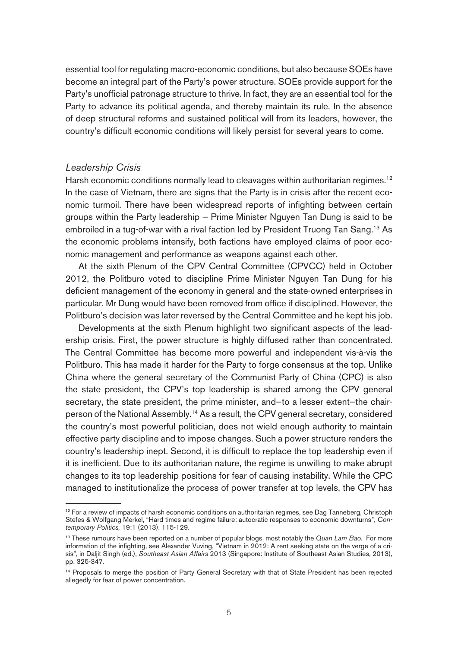essential tool for regulating macro-economic conditions, but also because SOEs have become an integral part of the Party's power structure. SOEs provide support for the Party's unofficial patronage structure to thrive. In fact, they are an essential tool for the Party to advance its political agenda, and thereby maintain its rule. In the absence of deep structural reforms and sustained political will from its leaders, however, the country's difficult economic conditions will likely persist for several years to come.

#### Leadership Crisis

Harsh economic conditions normally lead to cleavages within authoritarian regimes.<sup>12</sup> In the case of Vietnam, there are signs that the Party is in crisis after the recent economic turmoil. There have been widespread reports of infighting between certain groups within the Party leadership — Prime Minister Nguyen Tan Dung is said to be embroiled in a tug-of-war with a rival faction led by President Truong Tan Sang.13 As the economic problems intensify, both factions have employed claims of poor economic management and performance as weapons against each other.

At the sixth Plenum of the CPV Central Committee (CPVCC) held in October 2012, the Politburo voted to discipline Prime Minister Nguyen Tan Dung for his deficient management of the economy in general and the state-owned enterprises in particular. Mr Dung would have been removed from office if disciplined. However, the Politburo's decision was later reversed by the Central Committee and he kept his job.

Developments at the sixth Plenum highlight two significant aspects of the leadership crisis. First, the power structure is highly diffused rather than concentrated. The Central Committee has become more powerful and independent vis-à-vis the Politburo. This has made it harder for the Party to forge consensus at the top. Unlike China where the general secretary of the Communist Party of China (CPC) is also the state president, the CPV's top leadership is shared among the CPV general secretary, the state president, the prime minister, and—to a lesser extent—the chairperson of the National Assembly.<sup>14</sup> As a result, the CPV general secretary, considered the country's most powerful politician, does not wield enough authority to maintain effective party discipline and to impose changes. Such a power structure renders the country's leadership inept. Second, it is difficult to replace the top leadership even if it is inefficient. Due to its authoritarian nature, the regime is unwilling to make abrupt changes to its top leadership positions for fear of causing instability. While the CPC managed to institutionalize the process of power transfer at top levels, the CPV has

 $12$  For a review of impacts of harsh economic conditions on authoritarian regimes, see Dag Tanneberg, Christoph Stefes & Wolfgang Merkel, "Hard times and regime failure: autocratic responses to economic downturns", Contemporary Politics, 19:1 (2013), 115-129.

<sup>&</sup>lt;sup>13</sup> These rumours have been reported on a number of popular blogs, most notably the Quan Lam Bao. For more information of the infighting, see Alexander Vuving, "Vietnam in 2012: A rent seeking state on the verge of a crisis", in Daljit Singh (ed.), Southeast Asian Affairs 2013 (Singapore: Institute of Southeast Asian Studies, 2013), pp. 325-347.

<sup>&</sup>lt;sup>14</sup> Proposals to merge the position of Party General Secretary with that of State President has been rejected allegedly for fear of power concentration.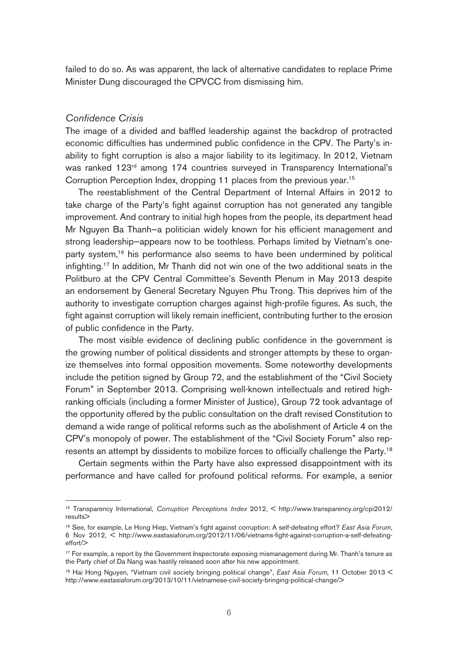failed to do so. As was apparent, the lack of alternative candidates to replace Prime Minister Dung discouraged the CPVCC from dismissing him.

#### Confidence Crisis

The image of a divided and baffled leadership against the backdrop of protracted economic difficulties has undermined public confidence in the CPV. The Party's inability to fight corruption is also a major liability to its legitimacy. In 2012, Vietnam was ranked 123<sup>rd</sup> among 174 countries surveyed in Transparency International's Corruption Perception Index, dropping 11 places from the previous year.<sup>15</sup>

The reestablishment of the Central Department of Internal Affairs in 2012 to take charge of the Party's fight against corruption has not generated any tangible improvement. And contrary to initial high hopes from the people, its department head Mr Nguyen Ba Thanh—a politician widely known for his efficient management and strong leadership—appears now to be toothless. Perhaps limited by Vietnam's oneparty system,<sup>16</sup> his performance also seems to have been undermined by political infighting.17 In addition, Mr Thanh did not win one of the two additional seats in the Politburo at the CPV Central Committee's Seventh Plenum in May 2013 despite an endorsement by General Secretary Nguyen Phu Trong. This deprives him of the authority to investigate corruption charges against high-profile figures. As such, the fight against corruption will likely remain inefficient, contributing further to the erosion of public confidence in the Party.

The most visible evidence of declining public confidence in the government is the growing number of political dissidents and stronger attempts by these to organize themselves into formal opposition movements. Some noteworthy developments include the petition signed by Group 72, and the establishment of the "Civil Society Forum" in September 2013. Comprising well-known intellectuals and retired highranking officials (including a former Minister of Justice), Group 72 took advantage of the opportunity offered by the public consultation on the draft revised Constitution to demand a wide range of political reforms such as the abolishment of Article 4 on the CPV's monopoly of power. The establishment of the "Civil Society Forum" also represents an attempt by dissidents to mobilize forces to officially challenge the Party.<sup>18</sup>

Certain segments within the Party have also expressed disappointment with its performance and have called for profound political reforms. For example, a senior

<sup>15</sup> Transparency International, Corruption Perceptions Index 2012, < http://www.transparency.org/cpi2012/ results>

<sup>&</sup>lt;sup>16</sup> See, for example, Le Hong Hiep, Vietnam's fight against corruption: A self-defeating effort? East Asia Forum, 6 Nov 2012, < http://www.eastasiaforum.org/2012/11/06/vietnams-fight-against-corruption-a-self-defeatingeffort/>

 $17$  For example, a report by the Government Inspectorate exposing mismanagement during Mr. Thanh's tenure as the Party chief of Da Nang was hastily released soon after his new appointment.

<sup>&</sup>lt;sup>18</sup> Hai Hong Nguyen, "Vietnam civil society bringing political change", East Asia Forum, 11 October 2013 < http://www.eastasiaforum.org/2013/10/11/vietnamese-civil-society-bringing-political-change/>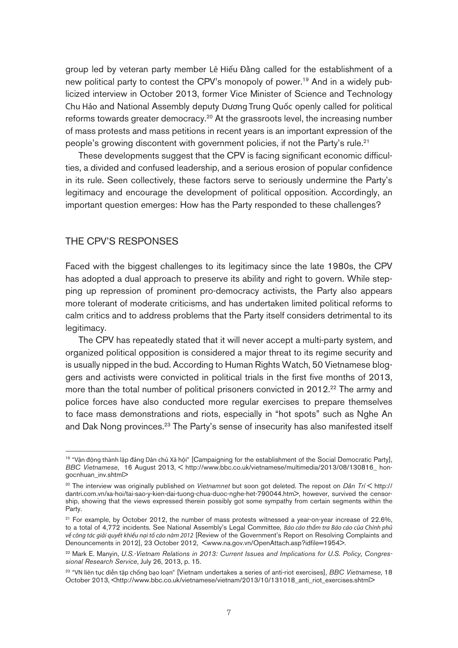group led by veteran party member Lê Hiếu Đằng called for the establishment of a new political party to contest the CPV's monopoly of power.<sup>19</sup> And in a widely publicized interview in October 2013, former Vice Minister of Science and Technology Chu Hảo and National Assembly deputy Dương Trung Quốc openly called for political reforms towards greater democracy.<sup>20</sup> At the grassroots level, the increasing number of mass protests and mass petitions in recent years is an important expression of the people's growing discontent with government policies, if not the Party's rule.<sup>21</sup>

These developments suggest that the CPV is facing significant economic difficulties, a divided and confused leadership, and a serious erosion of popular confidence in its rule. Seen collectively, these factors serve to seriously undermine the Party's legitimacy and encourage the development of political opposition. Accordingly, an important question emerges: How has the Party responded to these challenges?

## THE CPV'S RESPONSES

Faced with the biggest challenges to its legitimacy since the late 1980s, the CPV has adopted a dual approach to preserve its ability and right to govern. While stepping up repression of prominent pro-democracy activists, the Party also appears more tolerant of moderate criticisms, and has undertaken limited political reforms to calm critics and to address problems that the Party itself considers detrimental to its legitimacy.

The CPV has repeatedly stated that it will never accept a multi-party system, and organized political opposition is considered a major threat to its regime security and is usually nipped in the bud. According to Human Rights Watch, 50 Vietnamese bloggers and activists were convicted in political trials in the first five months of 2013, more than the total number of political prisoners convicted in 2012.<sup>22</sup> The army and police forces have also conducted more regular exercises to prepare themselves to face mass demonstrations and riots, especially in "hot spots" such as Nghe An and Dak Nong provinces.<sup>23</sup> The Party's sense of insecurity has also manifested itself

<sup>&</sup>lt;sup>19</sup> "Vân đông thành lập đảng Dân chủ Xã hôi" [Campaigning for the establishment of the Social Democratic Party], BBC Vietnamese, 16 August 2013, < http://www.bbc.co.uk/vietnamese/multimedia/2013/08/130816\_ hongocnhuan\_inv.shtml>

<sup>&</sup>lt;sup>20</sup> The interview was originally published on Vietnamnet but soon got deleted. The repost on Dân Trí < http:// dantri.com.vn/xa-hoi/tai-sao-y-kien-dai-tuong-chua-duoc-nghe-het-790044.htm>, however, survived the censorship, showing that the views expressed therein possibly got some sympathy from certain segments within the Party.

<sup>&</sup>lt;sup>21</sup> For example, by October 2012, the number of mass protests witnessed a year-on-year increase of 22.6%, to a total of 4,772 incidents. See National Assembly's Legal Committee, *Báo cáo thẩm tra Báo cáo của Chính phủ về công tác giải quyết khiếu nại tố cáo năm 2012* [Review of the Government's Report on Resolving Complaints and Denouncements in 2012], 23 October 2012, <www.na.gov.vn/OpenAttach.asp?idfile=1954>.

<sup>&</sup>lt;sup>22</sup> Mark E. Manyin, U.S.-Vietnam Relations in 2013: Current Issues and Implications for U.S. Policy, Congressional Research Service, July 26, 2013, p. 15.

<sup>&</sup>lt;sup>23</sup> "VN liên tục diễn tập chống bạo loạn" [Vietnam undertakes a series of anti-riot exercises], BBC Vietnamese, 18 October 2013, <http://www.bbc.co.uk/vietnamese/vietnam/2013/10/131018\_anti\_riot\_exercises.shtml>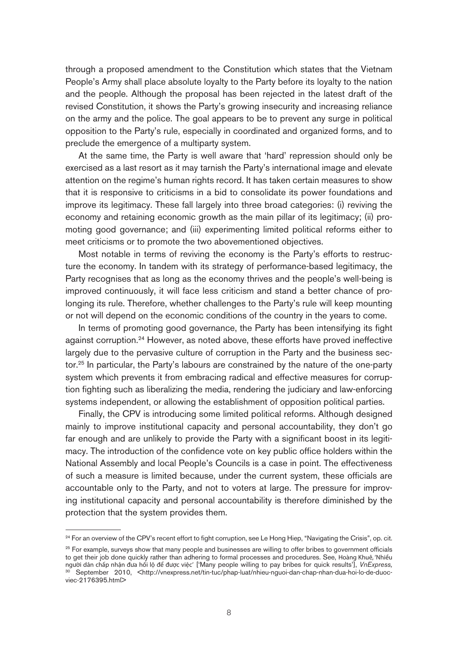through a proposed amendment to the Constitution which states that the Vietnam People's Army shall place absolute loyalty to the Party before its loyalty to the nation and the people. Although the proposal has been rejected in the latest draft of the revised Constitution, it shows the Party's growing insecurity and increasing reliance on the army and the police. The goal appears to be to prevent any surge in political opposition to the Party's rule, especially in coordinated and organized forms, and to preclude the emergence of a multiparty system.

At the same time, the Party is well aware that 'hard' repression should only be exercised as a last resort as it may tarnish the Party's international image and elevate attention on the regime's human rights record. It has taken certain measures to show that it is responsive to criticisms in a bid to consolidate its power foundations and improve its legitimacy. These fall largely into three broad categories: (i) reviving the economy and retaining economic growth as the main pillar of its legitimacy; (ii) promoting good governance; and (iii) experimenting limited political reforms either to meet criticisms or to promote the two abovementioned objectives.

Most notable in terms of reviving the economy is the Party's efforts to restructure the economy. In tandem with its strategy of performance-based legitimacy, the Party recognises that as long as the economy thrives and the people's well-being is improved continuously, it will face less criticism and stand a better chance of prolonging its rule. Therefore, whether challenges to the Party's rule will keep mounting or not will depend on the economic conditions of the country in the years to come.

In terms of promoting good governance, the Party has been intensifying its fight against corruption.<sup>24</sup> However, as noted above, these efforts have proved ineffective largely due to the pervasive culture of corruption in the Party and the business sector.25 In particular, the Party's labours are constrained by the nature of the one-party system which prevents it from embracing radical and effective measures for corruption fighting such as liberalizing the media, rendering the judiciary and law-enforcing systems independent, or allowing the establishment of opposition political parties.

Finally, the CPV is introducing some limited political reforms. Although designed mainly to improve institutional capacity and personal accountability, they don't go far enough and are unlikely to provide the Party with a significant boost in its legitimacy. The introduction of the confidence vote on key public office holders within the National Assembly and local People's Councils is a case in point. The effectiveness of such a measure is limited because, under the current system, these officials are accountable only to the Party, and not to voters at large. The pressure for improving institutional capacity and personal accountability is therefore diminished by the protection that the system provides them.

<sup>&</sup>lt;sup>24</sup> For an overview of the CPV's recent effort to fight corruption, see Le Hong Hiep, "Navigating the Crisis", op. cit.

 $25$  For example, surveys show that many people and businesses are willing to offer bribes to government officials to get their job done quickly rather than adhering to formal processes and procedures. See, Hoàng Khuê, 'Nhiều người dân chấp nhận đưa hối lộ để được việc' ['Many people willing to pay bribes for quick results'], VnExpress, <sup>30</sup> September 2010, <http://vnexpress.net/tin-tuc/phap-luat/nhieu-nguoi-dan-chap-nhan-dua-hoi-lo-de-duocviec-2176395.html>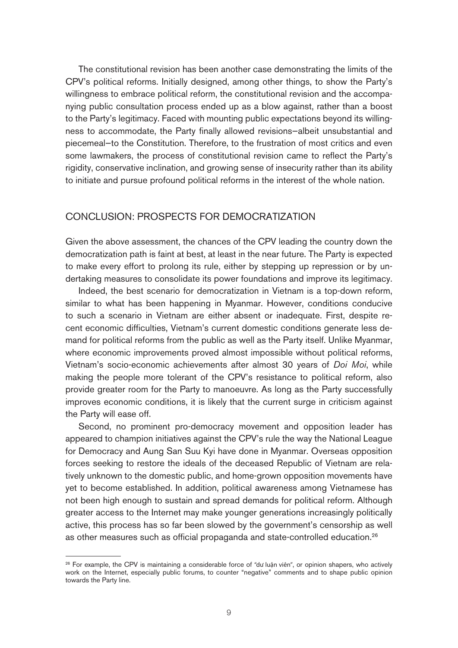The constitutional revision has been another case demonstrating the limits of the CPV's political reforms. Initially designed, among other things, to show the Party's willingness to embrace political reform, the constitutional revision and the accompanying public consultation process ended up as a blow against, rather than a boost to the Party's legitimacy. Faced with mounting public expectations beyond its willingness to accommodate, the Party finally allowed revisions—albeit unsubstantial and piecemeal—to the Constitution. Therefore, to the frustration of most critics and even some lawmakers, the process of constitutional revision came to reflect the Party's rigidity, conservative inclination, and growing sense of insecurity rather than its ability to initiate and pursue profound political reforms in the interest of the whole nation.

### CONCLUSION: PROSPECTS FOR DEMOCRATIZATION

Given the above assessment, the chances of the CPV leading the country down the democratization path is faint at best, at least in the near future. The Party is expected to make every effort to prolong its rule, either by stepping up repression or by undertaking measures to consolidate its power foundations and improve its legitimacy.

Indeed, the best scenario for democratization in Vietnam is a top-down reform, similar to what has been happening in Myanmar. However, conditions conducive to such a scenario in Vietnam are either absent or inadequate. First, despite recent economic difficulties, Vietnam's current domestic conditions generate less demand for political reforms from the public as well as the Party itself. Unlike Myanmar, where economic improvements proved almost impossible without political reforms, Vietnam's socio-economic achievements after almost 30 years of Doi Moi, while making the people more tolerant of the CPV's resistance to political reform, also provide greater room for the Party to manoeuvre. As long as the Party successfully improves economic conditions, it is likely that the current surge in criticism against the Party will ease off.

Second, no prominent pro-democracy movement and opposition leader has appeared to champion initiatives against the CPV's rule the way the National League for Democracy and Aung San Suu Kyi have done in Myanmar. Overseas opposition forces seeking to restore the ideals of the deceased Republic of Vietnam are relatively unknown to the domestic public, and home-grown opposition movements have yet to become established. In addition, political awareness among Vietnamese has not been high enough to sustain and spread demands for political reform. Although greater access to the Internet may make younger generations increasingly politically active, this process has so far been slowed by the government's censorship as well as other measures such as official propaganda and state-controlled education.<sup>26</sup>

<sup>&</sup>lt;sup>26</sup> For example, the CPV is maintaining a considerable force of "dư luận viên", or opinion shapers, who actively work on the Internet, especially public forums, to counter "negative" comments and to shape public opinion towards the Party line.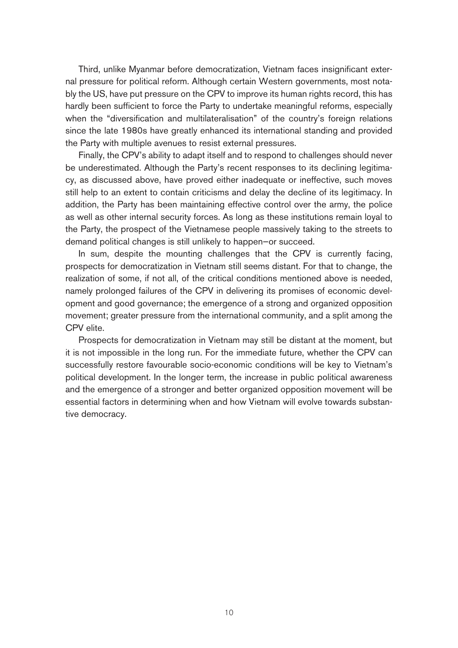Third, unlike Myanmar before democratization, Vietnam faces insignificant external pressure for political reform. Although certain Western governments, most notably the US, have put pressure on the CPV to improve its human rights record, this has hardly been sufficient to force the Party to undertake meaningful reforms, especially when the "diversification and multilateralisation" of the country's foreign relations since the late 1980s have greatly enhanced its international standing and provided the Party with multiple avenues to resist external pressures.

Finally, the CPV's ability to adapt itself and to respond to challenges should never be underestimated. Although the Party's recent responses to its declining legitimacy, as discussed above, have proved either inadequate or ineffective, such moves still help to an extent to contain criticisms and delay the decline of its legitimacy. In addition, the Party has been maintaining effective control over the army, the police as well as other internal security forces. As long as these institutions remain loyal to the Party, the prospect of the Vietnamese people massively taking to the streets to demand political changes is still unlikely to happen—or succeed.

In sum, despite the mounting challenges that the CPV is currently facing, prospects for democratization in Vietnam still seems distant. For that to change, the realization of some, if not all, of the critical conditions mentioned above is needed, namely prolonged failures of the CPV in delivering its promises of economic development and good governance; the emergence of a strong and organized opposition movement; greater pressure from the international community, and a split among the CPV elite.

Prospects for democratization in Vietnam may still be distant at the moment, but it is not impossible in the long run. For the immediate future, whether the CPV can successfully restore favourable socio-economic conditions will be key to Vietnam's political development. In the longer term, the increase in public political awareness and the emergence of a stronger and better organized opposition movement will be essential factors in determining when and how Vietnam will evolve towards substantive democracy.